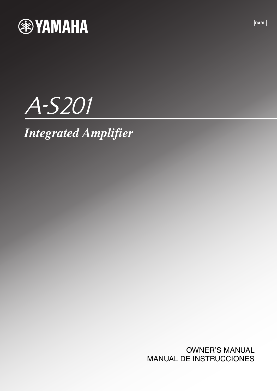

# A-S201

# *Integrated Amplifier*

OWNER'S MANUAL MANUAL DE INSTRUCCIONES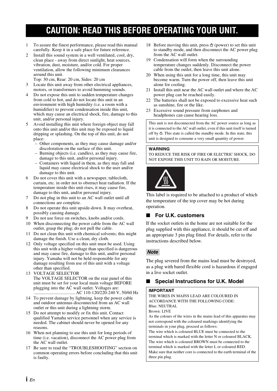### **CAUTION: READ THIS BEFORE OPERATING YOUR UNIT.**

- 1 To assure the finest performance, please read this manual carefully. Keep it in a safe place for future reference.
- Install this sound system in a well ventilated, cool, dry, clean place - away from direct sunlight, heat sources, vibration, dust, moisture, and/or cold. For proper ventilation, allow the following minimum clearances around this unit.

Top: 30 cm, Rear: 20 cm, Sides: 20 cm

- 3 Locate this unit away from other electrical appliances, motors, or transformers to avoid humming sounds.
- 4 Do not expose this unit to sudden temperature changes from cold to hot, and do not locate this unit in an environment with high humidity (i.e. a room with a humidifier) to prevent condensation inside this unit, which may cause an electrical shock, fire, damage to this unit, and/or personal injury.
- 5 Avoid installing this unit where foreign object may fall onto this unit and/or this unit may be exposed to liquid dripping or splashing. On the top of this unit, do not place:
	- Other components, as they may cause damage and/or discoloration on the surface of this unit.
	- Burning objects (i.e. candles), as they may cause fire, damage to this unit, and/or personal injury.
	- Containers with liquid in them, as they may fall and liquid may cause electrical shock to the user and/or damage to this unit.
- 6 Do not cover this unit with a newspaper, tablecloth, curtain, etc. in order not to obstruct heat radiation. If the temperature inside this unit rises, it may cause fire, damage to this unit, and/or personal injury.
- 7 Do not plug in this unit to an AC wall outlet until all connections are complete.
- 8 Do not operate this unit upside-down. It may overheat, possibly causing damage.
- Do not use force on switches, knobs and/or cords.
- 10 When disconnecting the power cable from the AC wall outlet, grasp the plug; do not pull the cable.
- 11 Do not clean this unit with chemical solvents; this might damage the finish. Use a clean, dry cloth.
- 12 Only voltage specified on this unit must be used. Using this unit with a higher voltage than specified is dangerous and may cause fire, damage to this unit, and/or personal injury. Yamaha will not be held responsible for any damage resulting from use of this unit with a voltage other than specified.
- 13 VOLTAGE SELECTOR The VOLTAGE SELECTOR on the rear panel of this unit must be set for your local main voltage BEFORE plugging into the AC wall outlet. Voltages are: .................................... AC 110-120/220-240 V, 50/60 Hz
- 14 To prevent damage by lightning, keep the power cable and outdoor antennas disconnected from an AC wall outlet or this unit during a lightning storm.
- 15 Do not attempt to modify or fix this unit. Contact qualified Yamaha service personnel when any service is needed. The cabinet should never be opened for any reasons.
- 16 When not planning to use this unit for long periods of time (i.e. vacation), disconnect the AC power plug from the AC wall outlet.
- 17 Be sure to read the "TROUBLESHOOTING" section on common operating errors before concluding that this unit is faulty.
- 18 Before moving this unit, press  $\Phi$  (power) to set this unit to standby mode, and then disconnect the AC power plug from the AC wall outlet.
- 19 Condensation will form when the surrounding temperature changes suddenly. Disconnect the power cable from the outlet, then leave this unit alone.
- 20 When using this unit for a long time, this unit may become warm. Turn the power off, then leave this unit alone for cooling.
- 21 Install this unit near the AC wall outlet and where the AC power plug can be reached easily.
- 22 The batteries shall not be exposed to excessive heat such as sunshine, fire or the like.
- 23 Excessive sound pressure from earphones and headphones can cause hearing loss.

This unit is not disconnected from the AC power source as long as it is connected to the AC wall outlet, even if this unit itself is turned off by  $\Phi$ . This state is called the standby mode. In this state, this unit is designed to consume a very small quantity of power.

#### **WARNING**

TO REDUCE THE RISK OF FIRE OR ELECTRIC SHOCK, DO NOT EXPOSE THIS UNIT TO RAIN OR MOISTURE.



This label is required to be attached to a product of which the temperature of the top cover may be hot during operation.

### ■ **For U.K. customers**

If the socket outlets in the home are not suitable for the plug supplied with this appliance, it should be cut off and an appropriate 3 pin plug fitted. For details, refer to the instructions described below.

### *Note*

The plug severed from the mains lead must be destroyed, as a plug with bared flexible cord is hazardous if engaged in a live socket outlet.

### **Special Instructions for U.K. Model**

#### **IMPORTANT**

THE WIRES IN MAINS LEAD ARE COLOURED IN ACCORDANCE WITH THE FOLLOWING CODE: Blue: NEUTRAL Brown: LIVE As the colours of the wires in the mains lead of this apparatus may not correspond with the coloured markings identifying the terminals in your plug, proceed as follows: The wire which is coloured BLUE must be connected to the terminal which is marked with the letter N or coloured BLACK. The wire which is coloured BROWN must be connected to the terminal which is marked with the letter L or coloured RED. Make sure that neither core is connected to the earth terminal of the three pin plug.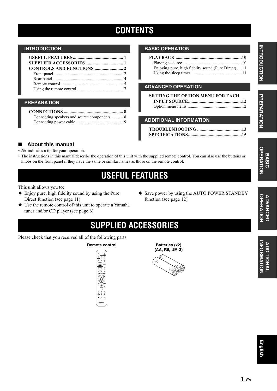### **CONTENTS**

#### **INTRODUCTION**

### **PREPARATION**

### **BASIC OPERATION**

| Enjoying pure, high fidelity sound (Pure Direct)  11 |  |
|------------------------------------------------------|--|
|                                                      |  |
|                                                      |  |

### **ADVANCED OPERATION**

| <b>SETTING THE OPTION MENU FOR EACH</b> |  |
|-----------------------------------------|--|
|                                         |  |
|                                         |  |

### **ADDITIONAL INFORMATION**

**[TROUBLESHOOTING .......................................13](#page-14-0) [SPECIFICATIONS...............................................15](#page-16-0)**

### ■ **About this manual**

- $\leq$  indicates a tip for your operation.
- The instructions in this manual describe the operation of this unit with the supplied remote control. You can also use the buttons or knobs on the front panel if they have the same or similar names as those on the remote control.

### **USEFUL FEATURES**

<span id="page-2-0"></span>This unit allows you to:

- ◆ Enjoy pure, high fidelity sound by using the Pure Direct function (see page 11)
- ◆ Use the remote control of this unit to operate a Yamaha tuner and/or CD player (see page 6)
- ◆ Save power by using the AUTO POWER STANDBY function (see page 12)

### **SUPPLIED ACCESSORIES**

<span id="page-2-1"></span>Please check that you received all of the following parts.

**Remote control <b>Batteries** (x2)



**(AA, R6, UM-3)**



**ADVANCED** 

**ADVANCED<br>OPERATION** 

**BASIC**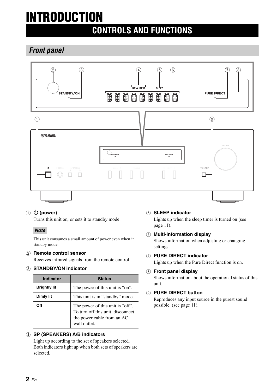# <span id="page-3-0"></span>**INTRODUCTION**

### **CONTROLS AND FUNCTIONS**

<span id="page-3-1"></span>*Front panel*



### ① **(b** (power)

Turns this unit on, or sets it to standby mode.

### *Note*

This unit consumes a small amount of power even when in standby mode.

### 2 **Remote control sensor**

Receives infrared signals from the remote control.

### 3 **STANDBY/ON indicator**

| Indicator           | <b>Status</b>                                                                                                       |
|---------------------|---------------------------------------------------------------------------------------------------------------------|
| <b>Brightly lit</b> | The power of this unit is "on".                                                                                     |
| Dimly lit           | This unit is in "standby" mode.                                                                                     |
| Ωff                 | The power of this unit is "off".<br>To turn off this unit, disconnect<br>the power cable from an AC<br>wall outlet. |

### 4 **SP (SPEAKERS) A/B indicators**

Light up according to the set of speakers selected. Both indicators light up when both sets of speakers are selected.

### 5 **SLEEP indicator**

Lights up when the sleep timer is turned on (see page 11).

6 **Multi-information display** Shows information when adjusting or changing settings.

### 7 **PURE DIRECT indicator**

Lights up when the Pure Direct function is on.

### 8 **Front panel display**

Shows information about the operational status of this unit.

### 9 **PURE DIRECT button**

Reproduces any input source in the purest sound possible. (see page 11).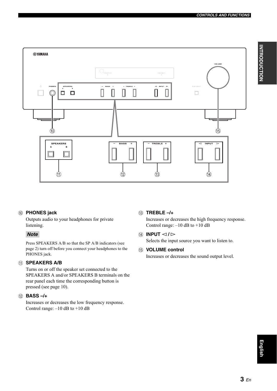

### 0 **PHONES jack**

Outputs audio to your headphones for private listening.

### *Note*

Press SPEAKERS A/B so that the SP A/B indicators (see page [2](#page-3-1)) turn off before you connect your headphones to the PHONES jack.

### A **SPEAKERS A/B**

Turns on or off the speaker set connected to the SPEAKERS A and/or SPEAKERS B terminals on the rear panel each time the corresponding button is pressed (see page 10).

### B **BASS –/+**

Increases or decreases the low frequency response. Control range:  $-10$  dB to  $+10$  dB

### C **TREBLE –/+**

Increases or decreases the high frequency response. Control range: –10 dB to +10 dB

### **(4) INPUT**  $\lhd$  /  $\rhd$

Selects the input source you want to listen to.

### **(16) VOLUME control**

Increases or decreases the sound output level.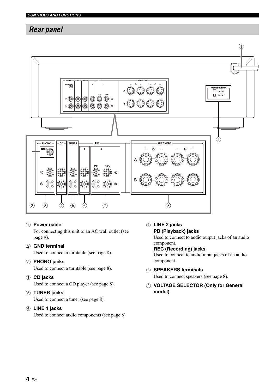### <span id="page-5-0"></span>*Rear panel*



### 1 **Power cable**

For connecting this unit to an AC wall outlet (see page 9).

### 2 **GND terminal**

Used to connect a turntable (see page 8).

### 3 **PHONO jacks**

Used to connect a turntable (see page 8).

### 4 **CD jacks**

Used to connect a CD player (see page 8).

### 5 **TUNER jacks**

Used to connect a tuner (see page 8).

### 6 **LINE 1 jacks**

Used to connect audio components (see page 8).

7 **LINE 2 jacks PB (Playback) jacks**

> Used to connect to audio output jacks of an audio component.

### **REC (Recording) jacks**

Used to connect to audio input jacks of an audio component.

- 8 **SPEAKERS terminals** Used to connect speakers (see page 8).
- 9 **VOLTAGE SELECTOR (Only for General model)**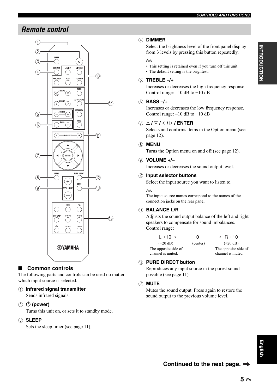### <span id="page-6-0"></span>*Remote control*



### ■ **Common controls**

The following parts and controls can be used no matter which input source is selected.

### 1 **Infrared signal transmitter**

Sends infrared signals.

### ② **(b** (power)

Turns this unit on, or sets it to standby mode.

### 3 **SLEEP**

Sets the sleep timer (see page 11).

### 4 **DIMMER**

Select the brightness level of the front panel display from 3 levels by pressing this button repeatedly.

### $\frac{1}{2}$

- This setting is retained even if you turn off this unit.
- The default setting is the brightest.

### 5 **TREBLE –/+**

Increases or decreases the high frequency response. Control range:  $-10$  dB to  $+10$  dB

### 6 **BASS –/+**

Increases or decreases the low frequency response. Control range: –10 dB to +10 dB

### 7 B **/** C **/** D **/** E **/ ENTER**

Selects and confirms items in the Option menu (see page 12).

### 8 **MENU**

Turns the Option menu on and off (see page 12).

### 9 **VOLUME +/–**

Increases or decreases the sound output level.

### 0 **Input selector buttons**

Select the input source you want to listen to.

#### $\geq 0$

The input source names correspond to the names of the connection jacks on the rear panel.

### *A* **BALANCE L/R**

Adjusts the sound output balance of the left and right speakers to compensate for sound imbalances. Control range:



### B **PURE DIRECT button**

Reproduces any input source in the purest sound possible (see page 11).

### **(13) MUTE**

Mutes the sound output. Press again to restore the sound output to the previous volume level.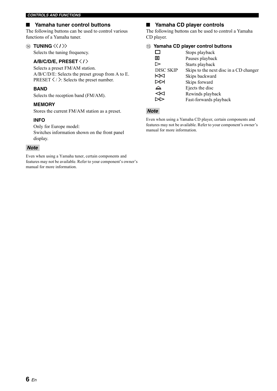### ■ Yamaha tuner control buttons

The following buttons can be used to control various functions of a Yamaha tuner.

### (14) **TUNING**  $\langle \langle 1 \rangle \rangle$

Selects the tuning frequency.

### **A/B/C/D/E, PRESET**  $\langle$  **/**  $\rangle$

Selects a preset FM/AM station. A/B/C/D/E: Selects the preset group from A to E. PRESET  $\langle \rangle$ : Selects the preset number.

### **BAND**

Selects the reception band (FM/AM).

### **MEMORY**

Stores the current FM/AM station as a preset.

### **INFO**

Only for Europe model: Switches information shown on the front panel display.

### *Note*

Even when using a Yamaha tuner, certain components and features may not be available. Refer to your component's owner's manual for more information.

### ■ **Yamaha CD player controls**

The following buttons can be used to control a Yamaha CD player.

#### E **Yamaha CD player control buttons**

|                  | Stops playback                         |
|------------------|----------------------------------------|
| ᄜ                | Pauses playback                        |
|                  | Starts playback                        |
| <b>DISC SKIP</b> | Skips to the next disc in a CD changer |
| κ⊲               | Skips backward                         |
|                  | Skips forward                          |
| ≙                | Ejects the disc                        |
| ⋘                | Rewinds playback                       |
|                  | Fast-forwards playback                 |

### *Note*

Even when using a Yamaha CD player, certain components and features may not be available. Refer to your component's owner's manual for more information.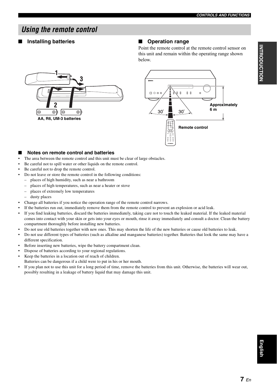### <span id="page-8-0"></span>*Using the remote control*

### ■ **Installing batteries** ■ **Operation range**

Point the remote control at the remote control sensor on this unit and remain within the operating range shown below.





#### **Notes on remote control and batteries**

- The area between the remote control and this unit must be clear of large obstacles.
- Be careful not to spill water or other liquids on the remote control.
- Be careful not to drop the remote control.
- Do not leave or store the remote control in the following conditions:
	- places of high humidity, such as near a bathroom
	- places of high temperatures, such as near a heater or stove
	- places of extremely low temperatures
	- dusty places
- Change all batteries if you notice the operation range of the remote control narrows.
- If the batteries run out, immediately remove them from the remote control to prevent an explosion or acid leak.
- If you find leaking batteries, discard the batteries immediately, taking care not to touch the leaked material. If the leaked material comes into contact with your skin or gets into your eyes or mouth, rinse it away immediately and consult a doctor. Clean the battery compartment thoroughly before installing new batteries.
- Do not use old batteries together with new ones. This may shorten the life of the new batteries or cause old batteries to leak.
- Do not use different types of batteries (such as alkaline and manganese batteries) together. Batteries that look the same may have a different specification.
- Before inserting new batteries, wipe the battery compartment clean.
- Dispose of batteries according to your regional regulations.
- Keep the batteries in a location out of reach of children.
- Batteries can be dangerous if a child were to put in his or her mouth.
- If you plan not to use this unit for a long period of time, remove the batteries from this unit. Otherwise, the batteries will wear out, possibly resulting in a leakage of battery liquid that may damage this unit.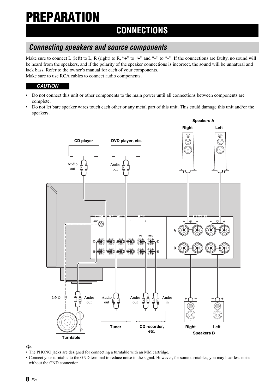# <span id="page-9-0"></span>**PREPARATION**

### **CONNECTIONS**

### <span id="page-9-1"></span>*Connecting speakers and source components*

Make sure to connect L (left) to L, R (right) to R, "+" to "+" and "-" to "-". If the connections are faulty, no sound will be heard from the speakers, and if the polarity of the speaker connections is incorrect, the sound will be unnatural and lack bass. Refer to the owner's manual for each of your components. Make sure to use RCA cables to connect audio components.

*CAUTION*

- Do not connect this unit or other components to the main power until all connections between components are complete.
- Do not let bare speaker wires touch each other or any metal part of this unit. This could damage this unit and/or the speakers.



 $\geq 0$ 

- The PHONO jacks are designed for connecting a turntable with an MM cartridge.
- Connect your turntable to the GND terminal to reduce noise in the signal. However, for some turntables, you may hear less noise without the GND connection.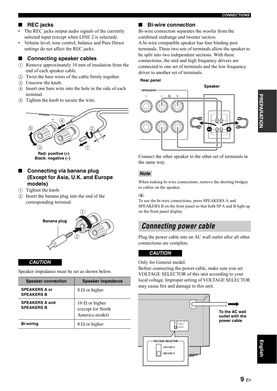### ■ **REC jacks**

- The REC jacks output audio signals of the currently selected input (except when LINE 2 is selected).
- Volume level, tone control, balance and Pure Direct settings do not affect the REC jacks.

### **Connecting speaker cables**

- $(1)$  Remove approximately 10 mm of insulation from the end of each speaker cable.
- 2 Twist the bare wires of the cable firmly together.
- 3 Unscrew the knob.
- 4 Insert one bare wire into the hole in the side of each terminal.
- 5 Tighten the knob to secure the wire.



### ■ Connecting via banana plug **(Except for Asia, U.K. and Europe models)**

- 1 Tighten the knob.
- 2 Insert the banana plug into the end of the corresponding terminal.



### *CAUTION*

Speaker impedance must be set as shown below.

| <b>Speaker connection</b>                  | <b>Speaker impedance</b>                                     |
|--------------------------------------------|--------------------------------------------------------------|
| <b>SPEAKERS A or</b><br><b>SPEAKERS B</b>  | $8 \Omega$ or higher                                         |
| <b>SPEAKERS A and</b><br><b>SPEAKERS B</b> | 16 $\Omega$ or higher<br>(except for North<br>America model) |
| <b>Bi-wiring</b>                           | $8 \Omega$ or higher                                         |

### ■ **Bi-wire connection**

Bi-wire connection separates the woofer from the combined midrange and tweeter section. A bi-wire compatible speaker has four binding post terminals. These two sets of terminals allow the speaker to be split into two independent sections. With these connections, the mid and high frequency drivers are connected to one set of terminals and the low frequency driver to another set of terminals.

#### **Rear panel**



Connect the other speaker to the other set of terminals in the same way.

### *Note*

When making bi-wire connections, remove the shorting bridges or cables on the speaker.

### $\geq \phi'$

To use the bi-wire connections, press SPEAKERS A and SPEAKERS B on the front panel so that both SP A and B light up on the front panel display.

### <span id="page-10-0"></span>*Connecting power cable*

Plug the power cable into an AC wall outlet after all other connections are complete.

### *CAUTION*

Only for General model:

Before connecting the power cable, make sure you set VOLTAGE SELECTOR of this unit according to your local voltage. Improper setting of VOLTAGE SELECTOR may cause fire and damage to this unit.



**English**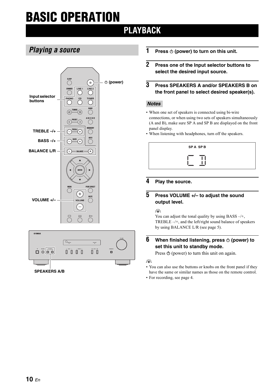# <span id="page-11-0"></span>**BASIC OPERATION**

### **PLAYBACK**

### <span id="page-11-1"></span>*Playing a source*





- **1** Press  $\circledcirc$  (power) to turn on this unit.
- **2 Press one of the Input selector buttons to select the desired input source.**
- **3 Press SPEAKERS A and/or SPEAKERS B on the front panel to select desired speaker(s).**

### *Notes*

- When one set of speakers is connected using bi-wire connections, or when using two sets of speakers simultaneously (A and B), make sure SP A and SP B are displayed on the front panel display.
- When listening with headphones, turn off the speakers.

| ∸ |  |
|---|--|

### **4 Play the source.**

### **5 Press VOLUME +/– to adjust the sound output level.**

 $\geq \phi'$ 

You can adjust the tonal quality by using BASS –/+, TREBLE –/+, and the left/right sound balance of speakers by using BALANCE L/R (see page 5).

### **6 When finished listening, press**  $\circ$  **(power) to set this unit to standby mode.**

Press  $\Phi$  (power) to turn this unit on again.

 $\frac{1}{2}$ %

- You can also use the buttons or knobs on the front panel if they have the same or similar names as those on the remote control.
- For recording, see page 4.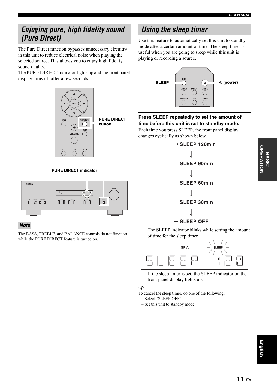### <span id="page-12-0"></span>*Enjoying pure, high fidelity sound (Pure Direct)*

The Pure Direct function bypasses unnecessary circuitry in this unit to reduce electrical noise when playing the selected source. This allows you to enjoy high fidelity sound quality.

The PURE DIRECT indicator lights up and the front panel display turns off after a few seconds.



### *Note*

The BASS, TREBLE, and BALANCE controls do not function while the PURE DIRECT feature is turned on.

### <span id="page-12-1"></span>*Using the sleep timer*

Use this feature to automatically set this unit to standby mode after a certain amount of time. The sleep timer is useful when you are going to sleep while this unit is playing or recording a source.



### **Press SLEEP repeatedly to set the amount of time before this unit is set to standby mode.**

Each time you press SLEEP, the front panel display changes cyclically as shown below.



The SLEEP indicator blinks while setting the amount of time for the sleep timer.



If the sleep timer is set, the SLEEP indicator on the front panel display lights up.

### $\geq 0$

To cancel the sleep timer, do one of the following: – Select "SLEEP OFF".

– Set this unit to standby mode.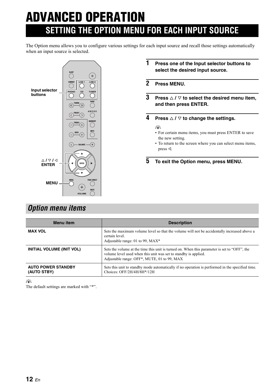# <span id="page-13-0"></span>**ADVANCED OPERATION SETTING THE OPTION MENU FOR EACH INPUT SOURCE**

The Option menu allows you to configure various settings for each input source and recall those settings automatically when an input source is selected.



### **1 Press one of the Input selector buttons to select the desired input source.**

- **2 Press MENU.**
- **3** Press  $\triangle$  /  $\triangledown$  to select the desired menu item, **and then press ENTER.**
- **4 Press**  $\triangle$  /  $\triangledown$  to change the settings.

#### $\geq \phi'$

- For certain menu items, you must press ENTER to save the new setting.
- To return to the screen where you can select menu items, press  $\triangleleft$ .

**5 To exit the Option menu, press MENU.**

### <span id="page-13-1"></span>*Option menu items*

| <b>Menu</b> item                         | <b>Description</b>                                                                                                                                                                                             |
|------------------------------------------|----------------------------------------------------------------------------------------------------------------------------------------------------------------------------------------------------------------|
| <b>MAX VOL</b>                           | Sets the maximum volume level so that the volume will not be accidentally increased above a<br>certain level.<br>Adjustable range: 01 to 99, MAX*                                                              |
| INITIAL VOLUME (INIT VOL)                | Sets the volume at the time this unit is turned on. When this parameter is set to "OFF", the<br>volume level used when this unit was set to standby is applied.<br>Adjustable range: OFF*, MUTE, 01 to 99, MAX |
| <b>AUTO POWER STANDBY</b><br>(AUTO STBY) | Sets this unit to standby mode automatically if no operation is performed in the specified time.<br>Choices: OFF/2H/4H/8H*/12H                                                                                 |

 $\geq \phi'$ 

The default settings are marked with "\*".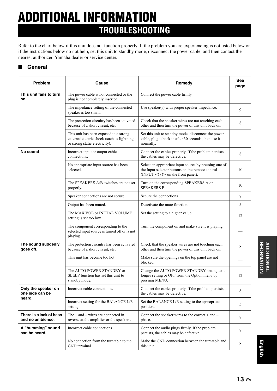# <span id="page-14-0"></span>**ADDITIONAL INFORMATION TROUBLESHOOTING**

Refer to the chart below if this unit does not function properly. If the problem you are experiencing is not listed below or if the instructions below do not help, set this unit to standby mode, disconnect the power cable, and then contact the nearest authorized Yamaha dealer or service center.

### ■ **General**

| <b>Problem</b>                              | Cause                                                                                                                  | Remedy                                                                                                                                                   | See<br>page |
|---------------------------------------------|------------------------------------------------------------------------------------------------------------------------|----------------------------------------------------------------------------------------------------------------------------------------------------------|-------------|
| This unit fails to turn<br>on.              | The power cable is not connected or the<br>plug is not completely inserted.                                            | Connect the power cable firmly.                                                                                                                          |             |
|                                             | The impedance setting of the connected<br>speaker is too small.                                                        | Use speaker(s) with proper speaker impedance.                                                                                                            | 9           |
|                                             | The protection circuitry has been activated<br>because of a short circuit, etc.                                        | Check that the speaker wires are not touching each<br>other and then turn the power of this unit back on.                                                | 8           |
|                                             | This unit has been exposed to a strong<br>external electric shock (such as lightning<br>or strong static electricity). | Set this unit to standby mode, disconnect the power<br>cable, plug it back in after 30 seconds, then use it<br>normally.                                 |             |
| No sound                                    | Incorrect input or output cable<br>connections.                                                                        | Connect the cables properly. If the problem persists,<br>the cables may be defective.                                                                    | 8           |
|                                             | No appropriate input source has been<br>selected.                                                                      | Select an appropriate input source by pressing one of<br>the Input selector buttons on the remote control<br>(INPUT $\lhd$ / $\rhd$ on the front panel). | 10          |
|                                             | The SPEAKERS A/B switches are not set<br>properly.                                                                     | Turn on the corresponding SPEAKERS A or<br>SPEAKERS B.                                                                                                   | 10          |
|                                             | Speaker connections are not secure.                                                                                    | Secure the connections.                                                                                                                                  | 8           |
|                                             | Output has been muted.                                                                                                 | Deactivate the mute function.                                                                                                                            | 5           |
|                                             | The MAX VOL or INITIAL VOLUME<br>setting is set too low.                                                               | Set the setting to a higher value.                                                                                                                       | 12          |
|                                             | The component corresponding to the<br>selected input source is turned off or is not<br>playing.                        | Turn the component on and make sure it is playing.                                                                                                       |             |
| The sound suddenly<br>goes off.             | The protection circuitry has been activated<br>because of a short circuit, etc.                                        | Check that the speaker wires are not touching each<br>other and then turn the power of this unit back on.                                                | 8           |
|                                             | This unit has become too hot.                                                                                          | Make sure the openings on the top panel are not<br>blocked.                                                                                              |             |
|                                             | The AUTO POWER STANDBY or<br>SLEEP function has set this unit to<br>standby mode.                                      | Change the AUTO POWER STANDBY setting to a<br>longer setting or OFF from the Option menu by<br>pressing MENU.                                            | 12          |
| Only the speaker on<br>one side can be      | Incorrect cable connections.                                                                                           | Connect the cables properly. If the problem persists,<br>the cables may be defective.                                                                    | 8           |
| heard.                                      | Incorrect setting for the BALANCE L/R<br>setting.                                                                      | Set the BALANCE L/R setting to the appropriate<br>position.                                                                                              | 5           |
| There is a lack of bass<br>and no ambience. | The $+$ and $-$ wires are connected in<br>reverse at the amplifier or the speakers.                                    | Connect the speaker wires to the correct $+$ and $-$<br>phase.                                                                                           | 8           |
| A "humming" sound<br>can be heard.          | Incorrect cable connections.                                                                                           | Connect the audio plugs firmly. If the problem<br>persists, the cables may be defective.                                                                 | 8           |
|                                             | No connection from the turntable to the<br>GND terminal.                                                               | Make the GND connection between the turntable and<br>this unit.                                                                                          | 8           |

**INFORMATION INFORMATION ADDITIONAL ADDITIONAL** 

**English**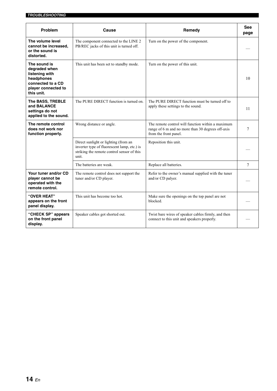| Problem                                                                                                                 | Cause                                                                                                                                      | Remedy                                                                                                                          | <b>See</b><br>page |
|-------------------------------------------------------------------------------------------------------------------------|--------------------------------------------------------------------------------------------------------------------------------------------|---------------------------------------------------------------------------------------------------------------------------------|--------------------|
| The volume level<br>cannot be increased.<br>or the sound is<br>distorted.                                               | The component connected to the LINE 2<br>PB/REC jacks of this unit is turned off.                                                          | Turn on the power of the component.                                                                                             |                    |
| The sound is<br>degraded when<br>listening with<br>headphones<br>connected to a CD<br>player connected to<br>this unit. | This unit has been set to standby mode.                                                                                                    | Turn on the power of this unit.                                                                                                 | 10                 |
| The BASS, TREBLE<br>and BALANCE<br>settings do not<br>applied to the sound.                                             | The PURE DIRECT function is turned on.                                                                                                     | The PURE DIRECT function must be turned off to<br>apply these settings to the sound.                                            | 11                 |
| The remote control<br>does not work nor<br>function properly.                                                           | Wrong distance or angle.                                                                                                                   | The remote control will function within a maximum<br>range of 6 m and no more than 30 degrees off-axis<br>from the front panel. | 7                  |
|                                                                                                                         | Direct sunlight or lighting (from an<br>inverter type of fluorescent lamp, etc.) is<br>striking the remote control sensor of this<br>unit. | Reposition this unit.                                                                                                           |                    |
|                                                                                                                         | The batteries are weak.                                                                                                                    | Replace all batteries.                                                                                                          | $\tau$             |
| Your tuner and/or CD<br>player cannot be<br>operated with the<br>remote control.                                        | The remote control does not support the<br>tuner and/or CD player.                                                                         | Refer to the owner's manual supplied with the tuner<br>and/or CD palyer.                                                        |                    |
| "OVER HEAT"<br>appears on the front<br>panel display.                                                                   | This unit has become too hot.                                                                                                              | Make sure the openings on the top panel are not<br>blocked.                                                                     |                    |
| "CHECK SP" appears<br>on the front panel<br>display.                                                                    | Speaker cables got shorted out.                                                                                                            | Twist bare wires of speaker cables firmly, and then<br>connect to this unit and speakers properly.                              |                    |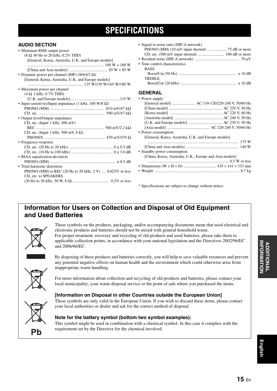### **SPECIFICATIONS**

### <span id="page-16-0"></span>**AUDIO SECTION**

| • Minimum RMS output power                                        |
|-------------------------------------------------------------------|
| $(8 \Omega, 40 \text{ Hz to } 20 \text{ kHz}, 0.2\% \text{ THD})$ |
| [General, Korea, Australia, U.K. and Europe models]               |
|                                                                   |
|                                                                   |
| • Dynamic power per channel (IHF) $(8/6/4/2 \Omega)$              |
| [General, Korea, Australia, U.K. and Europe models]               |
|                                                                   |
| • Maximum power per channel                                       |
| $(4 \Omega, 1 \text{ kHz}, 0.7\% \text{ THD})$                    |
|                                                                   |
|                                                                   |
| • Input sensitivity/Input impedance (1 kHz, 100 W/8 $\Omega$ )    |
|                                                                   |
|                                                                   |
| • Output level/Output impedance                                   |
| CD, etc. (Input 1 kHz, 500 mV)                                    |
|                                                                   |
| CD, etc. (Input 1 kHz, 500 mV, 8 $\Omega$ )                       |
|                                                                   |
| • Frequency response                                              |
|                                                                   |
|                                                                   |
| • RIAA equalization deviation                                     |
|                                                                   |
|                                                                   |
| • Total harmonic distortion                                       |
| PHONO (MM) to REC (20 Hz to 20 kHz, 2 V) $0.025\%$ or less        |
| CD, etc. to SPEAKERS                                              |
|                                                                   |
|                                                                   |

• Signal to noise ratio (IHF-A network)

| $\lceil$ China, Rorea, Fabatana, C.R., Earope and Fibia models |
|----------------------------------------------------------------|
|                                                                |
|                                                                |
|                                                                |
|                                                                |

\* Specifications are subject to change without notice.

### **Information for Users on Collection and Disposal of Old Equipment and Used Batteries**



These symbols on the products, packaging, and/or accompanying documents mean that used electrical and electronic products and batteries should not be mixed with general household waste. For proper treatment, recovery and recycling of old products and used batteries, please take them to applicable collection points, in accordance with your national legislation and the Directives 2002/96/EC and 2006/66/EC.



By disposing of these products and batteries correctly, you will help to save valuable resources and prevent any potential negative effects on human health and the environment which could otherwise arise from inappropriate waste handling.

For more information about collection and recycling of old products and batteries, please contact your local municipality, your waste disposal service or the point of sale where you purchased the items.

Pb

### **[Information on Disposal in other Countries outside the European Union]**

These symbols are only valid in the European Union. If you wish to discard these items, please contact your local authorities or dealer and ask for the correct method of disposal.

### **Note for the battery symbol (bottom two symbol examples):**

This symbol might be used in combination with a chemical symbol. In this case it complies with the requirement set by the Directive for the chemical involved.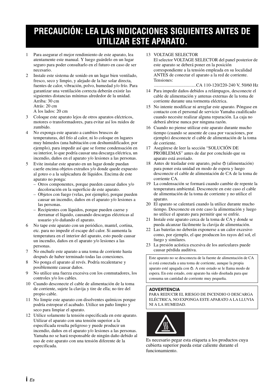### **PRECAUCIÓN: LEA LAS INDICACIONES SIGUIENTES ANTES DE UTILIZAR ESTE APARATO.**

- 1 Para asegurar el mejor rendimiento de este aparato, lea atentamente este manual. Y luego guárdelo en un lugar seguro para poder consultarlo en el futuro en caso de ser necesario.
- 2 Instale este sistema de sonido en un lugar bien ventilado, fresco, seco y limpio, y alejado de la luz solar directa, fuentes de calor, vibración, polvo, humedad y/o frío. Para garantizar una ventilación correcta deberán existir las siguientes distancias mínimas alrededor de la unidad. Arriba: 30 cm Atrás: 20 cm

A los lados: 20 cm

- 3 Coloque este aparato lejos de otros aparatos eléctricos, motores o transformadores, para evitar así los ruidos de zumbido.
- 4 No exponga este aparato a cambios bruscos de temperaturas, del frío al calor, ni lo coloque en lugares muy húmedos (una habitación con deshumidificador, por ejemplo), para impedir así que se forme condensación en su interior, lo que podría causar una descarga eléctrica, un incendio, daños en el aparato y/o lesiones a las personas.
- 5 Evite instalar este aparato en un lugar donde puedan caerle encima objetos extraños y/o donde quede expuesto al goteo o a la salpicadura de líquidos. Encima de este aparato no ponga:
	- Otros componentes, porque pueden causar daños y/o decoloración en la superficie de este aparato.
	- Objetos con fuego (velas, por ejemplo), porque pueden causar un incendio, daños en el aparato y/o lesiones a las personas.
	- Recipientes con líquidos, porque pueden caerse y derramar el líquido, causando descargas eléctricas al usuario y/o dañando el aparato.
- 6 No tape este aparato con un periódico, mantel, cortina, etc. para no impedir el escape del calor. Si aumenta la temperatura en el interior del aparato, esto puede causar un incendio, daños en el aparato y/o lesiones a las personas.
- 7 No enchufe este aparato a una toma de corriente hasta después de haber terminado todas las conexiones.
- 8 No ponga el aparato al revés. Podría recalentarse y posiblemente causar daños.
- 9 No utilice una fuerza excesiva con los conmutadores, los controles y/o los cables.
- 10 Cuando desconecte el cable de alimentación de la toma de corriente, sujete la clavija y tire de ella; no tire del propio cable.
- 11 No limpie este aparato con disolventes químicos porque podría estropear el acabado. Utilice un paño limpio y seco para limpiar el aparato.
- 12 Utilice solamente la tensión especificada en este aparato. Utilizar el aparato con una tensión superior a la especificada resulta peligroso y puede producir un incendio, daños en el aparato y/o lesiones a las personas. Yamaha no se hará responsable de ningún daño debido al uso de este aparato con una tensión diferente de la especificada.

### 13 VOLTAGE SELECTOR

El selector VOLTAGE SELECTOR del panel posterior de este aparato se deberá poner en la posición correspondiente a la tensión empleada en su localidad ANTES de conectar el aparato a la red de corriente. Tensiones:

.....................................CA 110-120/220-240 V, 50/60 Hz

- 14 Para impedir daños debidos a relámpagos, desconecte el cable de alimentación y antenas externas de la toma de corriente durante una tormenta eléctrica.
- 15 No intente modificar ni arreglar este aparato. Póngase en contacto con el personal de servicio Yamaha cualificado cuando necesite realizar alguna reparación. La caja no deberá abrirse nunca por ninguna razón.
- 16 Cuando no piense utilizar este aparato durante mucho tiempo (cuando se ausente de casa por vacaciones, por ejemplo) desconecte el cable de alimentación de la toma de corriente.
- 17 Asegúrese de leer la sección "SOLUCIÓN DE PROBLEMAS" antes de dar por concluido que su aparato está averiado.
- 18 Antes de trasladar este aparato, pulse  $\Phi$  (alimentación) para poner esta unidad en modo de espera y luego desconecte el cable de alimentación de CA de la toma de corriente CA.
- 19 La condensación se formará cuando cambie de repente la temperatura ambiental. Desconecte en este caso el cable de alimentación de la toma de corriente y no utilice el aparato.
- 20 El aparato se calentará cuando la utilice durante mucho tiempo. Desconecte en este caso la alimentación y luego no utilice el aparato para permitir que se enfríe.
- 21 Instale este aparato cerca de la toma de CA y donde se pueda alcanzar fácilmente la clavija de alimentación.
- 22 Las baterías no deberán exponerse a un calor excesivo como, por ejemplo, el que producen los rayos del sol, el fuego y similares.
- 23 La presión acústica excesiva de los auriculares puede causar pérdida auditiva.

Este aparato no se desconecta de la fuente de alimentación de CA si está conectada a una toma de corriente, aunque la propia aparato esté apagada con  $\Phi$ . A este estado se le llama modo de espera. En este estado, este aparato ha sido diseñada para que consuma un cantidad de corriente muy pequeña.

### **ADVERTENCIA**

PARA REDUCIR EL RIESGO DE INCENDIO O DESCARGA ELÉCTRICA, NO EXPONGA ESTE APARATO A LA LLUVIA NI A LA HUMEDAD.



Es necesario pegar esta etiqueta a los productos cuya cubierta superior pueda estar caliente durante el funcionamiento.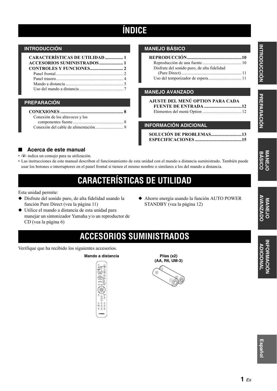### **ÍNDICE**

### **INTRODUCCIÓN**

| <b>CARACTERÍSTICAS DE UTILIDAD  1</b> |  |
|---------------------------------------|--|
|                                       |  |
|                                       |  |
| Panel frontal 2                       |  |
| Panel trasero                         |  |
| Mando a distancia                     |  |
|                                       |  |

### **PREPARACIÓN**

| Conexión de los altavoces y los |
|---------------------------------|
|                                 |
|                                 |
|                                 |

### **MANEJO BÁSICO**

| Disfrute del sonido puro, de alta fidelidad |  |
|---------------------------------------------|--|
|                                             |  |
|                                             |  |

### **MANEJO AVANZADO**

| AJUSTE DEL MENÚ OPTION PARA CADA |  |
|----------------------------------|--|
|                                  |  |
|                                  |  |

### **INFORMACIÓN ADICIONAL**

| SOLUCIÓN DE PROBLEMAS13 |  |
|-------------------------|--|
|                         |  |

### ■ **Acerca de este manual**

- $\frac{1}{2}$  indica un consejo para su utilización.
- Las instrucciones de este manual describen el funcionamiento de esta unidad con el mando a distancia suministrado. También puede usar los botones o interruptores en el panel frontal si tienen el mismo nombre o similares a los del mando a distancia.

### **CARACTERÍSTICAS DE UTILIDAD**

<span id="page-18-0"></span>Esta unidad permite:

- ◆ Disfrute del sonido puro, de alta fidelidad usando la función Pure Direct (vea la página 11)
- ◆ Utilice el mando a distancia de esta unidad para manejar un sintonizador Yamaha y/o un reproductor de CD (vea la página 6)
- ◆ Ahorre energía usando la función AUTO POWER STANDBY (vea la página 12)

**PREPARACIÓN INTRODUCCIÓN**

INTRODUCCIÓN PREPARACIÓN

# MANEJO MANEJO INFORMACIÓN **INFORMACIÓN ADICIOI ADICIONAL**

## **ACCESORIOS SUMINISTRADOS**

<span id="page-18-1"></span>Verifique que ha recibido los siguientes accesorios.

### **Mando a distancia Pilas (x2)**



**(AA, R6, UM-3)**

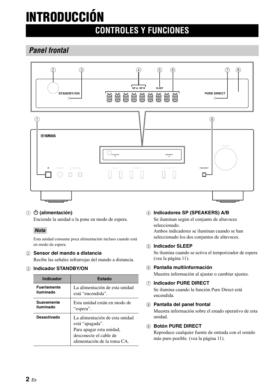# <span id="page-19-0"></span>**INTRODUCCIÓN**

### **CONTROLES Y FUNCIONES**

### <span id="page-19-1"></span>*Panel frontal*



### **(1) <br />
<b>(b)** (alimentación)

Enciende la unidad o la pone en modo de espera.

### *Nota*

Esta unidad consume poca alimentación incluso cuando está en modo de espera.

### 2 **Sensor del mando a distancia**

Recibe las señales infrarrojas del mando a distancia.

### 3 **Indicador STANDBY/ON**

| <b>Indicador</b>   | Estado                                                                                                                                 |
|--------------------|----------------------------------------------------------------------------------------------------------------------------------------|
| <b>Fuertemente</b> | La alimentación de esta unidad                                                                                                         |
| iluminado          | está "encendida".                                                                                                                      |
| <b>Suavemente</b>  | Esta unidad están en modo de                                                                                                           |
| iluminado          | "espera".                                                                                                                              |
| Desactivado        | La alimentación de esta unidad<br>está "apagada".<br>Para apagar esta unidad,<br>desconecte el cable de<br>alimentación de la toma CA. |

### 4 **Indicadores SP (SPEAKERS) A/B**

Se iluminan según el conjunto de altavoces seleccionado.

Ambos indicadores se iluminan cuando se han seleccionado los dos conjuntos de altavoces.

### 5 **Indicador SLEEP**

Se ilumina cuando se activa el temporizador de espera (vea la página 11).

### 6 **Pantalla multiinformación**

Muestra información al ajustar o cambiar ajustes.

### 7 **Indicador PURE DIRECT**

Se ilumina cuando la función Pure Direct está encendida.

### 8 **Pantalla del panel frontal**

Muestra información sobre el estado operativo de esta unidad.

### 9 **Botón PURE DIRECT**

Reproduce cualquier fuente de entrada con el sonido más puro posible. (vea la página 11).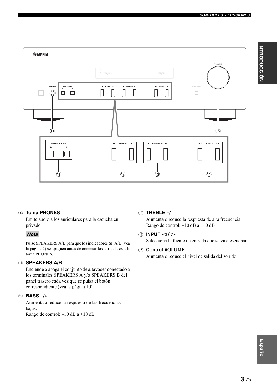

### 0 **Toma PHONES**

Emite audio a los auriculares para la escucha en privado.

### *Nota*

Pulse SPEAKERS A/B para que los indicadores SP A/B (vea la página [2](#page-19-1)) se apaguen antes de conectar los auriculares a la toma PHONES.

### **(1) SPEAKERS A/B**

Enciende o apaga el conjunto de altavoces conectado a los terminales SPEAKERS A y/o SPEAKERS B del panel trasero cada vez que se pulsa el botón correspondiente (vea la página 10).

### B **BASS –/+**

Aumenta o reduce la respuesta de las frecuencias bajas. Rango de control: –10 dB a +10 dB

### C **TREBLE –/+**

Aumenta o reduce la respuesta de alta frecuencia. Rango de control: –10 dB a +10 dB

### **(4) INPUT**  $\lhd$  /  $\rhd$

Selecciona la fuente de entrada que se va a escuchar.

### **(15) Control VOLUME**

Aumenta o reduce el nivel de salida del sonido.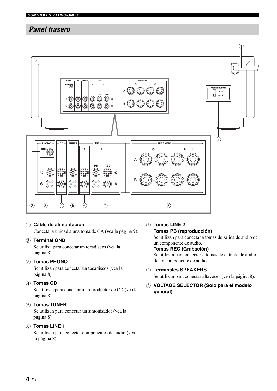### <span id="page-21-0"></span>*Panel trasero*



### 1 **Cable de alimentación**

Conecta la unidad a una toma de CA (vea la página 9).

### 2 **Terminal GND**

Se utiliza para conectar un tocadiscos (vea la página 8).

### 3 **Tomas PHONO**

Se utilizan para conectar un tocadiscos (vea la página 8).

### 4 **Tomas CD**

Se utilizan para conectar un reproductor de CD (vea la página 8).

### 5 **Tomas TUNER**

Se utilizan para conectar un sintonizador (vea la página 8).

### 6 **Tomas LINE 1**

Se utilizan para conectar componentes de audio (vea la página 8).

### 7 **Tomas LINE 2 Tomas PB (reproducción)**

Se utilizan para conectar a tomas de salida de audio de un componente de audio. **Tomas REC (Grabación)** Se utilizan para conectar a tomas de entrada de audio

### de un componente de audio.

### 8 **Terminales SPEAKERS**

Se utilizan para conectar altavoces (vea la página 8).

9 **VOLTAGE SELECTOR (Solo para el modelo general)**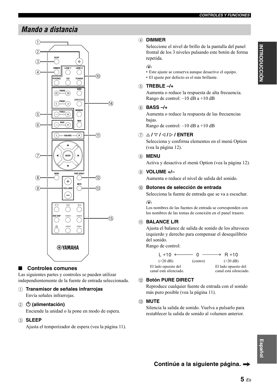### <span id="page-22-0"></span>*Mando a distancia*



### ■ **Controles comunes**

Las siguientes partes y controles se pueden utilizar independientemente de la fuente de entrada seleccionada.

### 1 **Transmisor de señales infrarrojas**

Envía señales infrarrojas.

### ② **(b)** (alimentación)

Enciende la unidad o la pone en modo de espera.

#### 3 **SLEEP**

Ajusta el temporizador de espera (vea la página 11).

### 4 **DIMMER**

Seleccione el nivel de brillo de la pantalla del panel frontal de los 3 niveles pulsando este botón de forma repetida.

#### $\geq 0$

• Este ajuste se conserva aunque desactive el equipo.

### 5 **TREBLE –/+**

Aumenta o reduce la respuesta de alta frecuencia. Rango de control: –10 dB a +10 dB

### 6 **BASS –/+**

Aumenta o reduce la respuesta de las frecuencias bajas.

Rango de control: –10 dB a +10 dB

• El ajuste por defecto es el más brillante.

### 7 B **/** C **/** D **/** E **/ ENTER**

Selecciona y confirma elementos en el menú Option (vea la página 12).

### 8 **MENU**

Activa y desactiva el menú Option (vea la página 12).

### 9 **VOLUME +/–**

Aumenta o reduce el nivel de salida del sonido.

#### 0 **Botones de selección de entrada**

Selecciona la fuente de entrada que se va a escuchar.  $\frac{1}{2}$ %

Los nombres de las fuentes de entrada se corresponden con los nombres de las tomas de conexión en el panel trasero.

### *A* **BALANCE L/R**

Ajusta el balance de salida de sonido de los altavoces izquierdo y derecho para compensar el desequilibrio del sonido.

Rango de control:

| $L + 10 \longleftarrow 0$ |          | $\longrightarrow$ R +10 |
|---------------------------|----------|-------------------------|
| $(+20 \text{ dB})$        | (centro) | $(+20 \text{ dB})$      |
| El lado opuesto del       |          | El lado opuesto del     |
| canal está silenciado.    |          | canal está silenciado.  |

### B **Botón PURE DIRECT**

Reproduce cualquier fuente de entrada con el sonido más puro posible (vea la página 11).

#### **(13) MUTE**

Silencia la salida de sonido. Vuelva a pulsarlo para restablecer la salida de sonido al volumen anterior.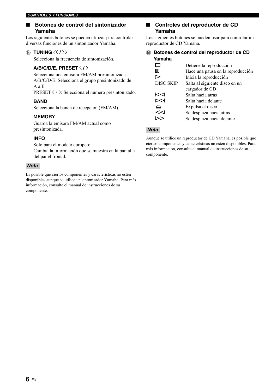### ■ **Botones de control del sintonizador Yamaha**

Los siguientes botones se pueden utilizar para controlar diversas funciones de un sintonizador Yamaha.

### **(4) TUNING**  $\langle\langle 1 \rangle\rangle$

Selecciona la frecuencia de sintonización.

### **A/B/C/D/E, PRESET**  $\langle$  **/**  $\rangle$

Selecciona una emisora FM/AM presintonizada. A/B/C/D/E: Selecciona el grupo presintonizado de A a E.

 $PREST \langle / \rangle$ : Selecciona el número presintonizado.

### **BAND**

Selecciona la banda de recepción (FM/AM).

### **MEMORY**

Guarda la emisora FM/AM actual como presintonizada.

### **INFO**

Solo para el modelo europeo:

Cambia la información que se muestra en la pantalla del panel frontal.

### *Nota*

Es posible que ciertos componentes y características no estén disponibles aunque se utilice un sintonizador Yamaha. Para más información, consulte el manual de instrucciones de su componente.

### ■ **Controles del reproductor de CD Yamaha**

Los siguientes botones se pueden usar para controlar un reproductor de CD Yamaha.

E **Botones de control del reproductor de CD Yamaha**

|                  | Detiene la reproducción           |
|------------------|-----------------------------------|
| M.               | Hace una pausa en la reproducción |
|                  | Inicia la reproducción            |
| <b>DISC SKIP</b> | Salta al siguiente disco en un    |
|                  | cargador de CD                    |
| ⊲⊲               | Salta hacia atrás                 |
| ≫⊳               | Salta hacia delante               |
|                  | Expulsa el disco                  |
|                  | Se desplaza hacia atrás           |
|                  | Se desplaza hacia delante         |

### *Nota*

Aunque se utilice un reproductor de CD Yamaha, es posible que ciertos componentes y características no estén disponibles. Para más información, consulte el manual de instrucciones de su componente.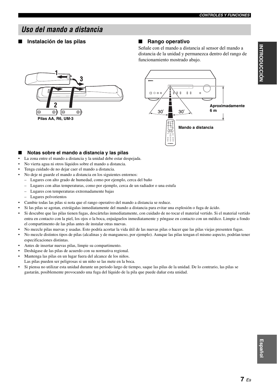### <span id="page-24-0"></span>*Uso del mando a distancia*

### ■ **Instalación de las pilas** ■ **Rango operativo**

Señale con el mando a distancia al sensor del mando a distancia de la unidad y permanezca dentro del rango de funcionamiento mostrado abajo.





#### Notas sobre el mando a distancia y las pilas

- La zona entre el mando a distancia y la unidad debe estar despejada.
- No vierta agua ni otros líquidos sobre el mando a distancia.
- Tenga cuidado de no dejar caer el mando a distancia.
- No deje ni guarde el mando a distancia en los siguientes entornos:
	- Lugares con alto grado de humedad, como por ejemplo, cerca del baño
	- Lugares con altas temperaturas, como por ejemplo, cerca de un radiador o una estufa
	- Lugares con temperaturas extremadamente bajas
	- Lugares polvorientos
- Cambie todas las pilas si nota que el rango operativo del mando a distancia se reduce.
- Si las pilas se agotan, extráigalas inmediatamente del mando a distancia para evitar una explosión o fuga de ácido.
- Si descubre que las pilas tienen fugas, descártelas inmediatamente, con cuidado de no tocar el material vertido. Si el material vertido entra en contacto con la piel, los ojos o la boca, enjuáguelos inmediatamente y póngase en contacto con un médico. Limpie a fondo el compartimento de las pilas antes de instalar otras nuevas.
- No mezcle pilas nuevas y usadas. Esto podría acortar la vida útil de las nuevas pilas o hacer que las pilas viejas presenten fugas.
- No mezcle distintos tipos de pilas (alcalinas y de manganeso, por ejemplo). Aunque las pilas tengan el mismo aspecto, podrían tener especificaciones distintas.
- Antes de insertar nuevas pilas, limpie su compartimento.
- Deshágase de las pilas de acuerdo con su normativa regional.
- Mantenga las pilas en un lugar fuera del alcance de los niños.
- Las pilas pueden ser peligrosas si un niño se las mete en la boca.
- Si piensa no utilizar esta unidad durante un periodo largo de tiempo, saque las pilas de la unidad. De lo contrario, las pilas se gastarán, posiblemente provocando una fuga del líquido de la pila que puede dañar esta unidad.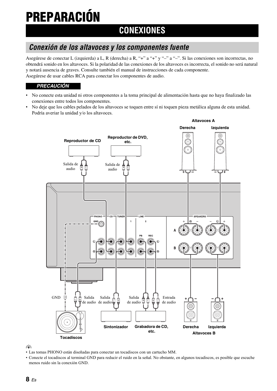# **PREPARACIÓN**

### **CONEXIONES**

### <span id="page-25-1"></span><span id="page-25-0"></span>*Conexión de los altavoces y los componentes fuente*

Asegúrese de conectar L (izquierda) a L, R (derecha) a R, "+" a "+" y "–" a "–". Si las conexiones son incorrectas, no obtendrá sonido en los altavoces. Si la polaridad de las conexiones de los altavoces es incorrecta, el sonido no será natural y notará ausencia de graves. Consulte también el manual de instrucciones de cada componente. Asegúrese de usar cables RCA para conectar los componentes de audio.

### *PRECAUCIÓN*

- No conecte esta unidad ni otros componentes a la toma principal de alimentación hasta que no haya finalizado las conexiones entre todos los componentes.
- No deje que los cables pelados de los altavoces se toquen entre sí ni toquen pieza metálica alguna de esta unidad. Podría averiar la unidad y/o los altavoces.



ay¦∕<br>⊾

- Las tomas PHONO están diseñadas para conectar un tocadiscos con un cartucho MM.
- Conecte el tocadiscos al terminal GND para reducir el ruido en la señal. No obstante, en algunos tocadiscos, es posible que escuche menos ruido sin la conexión GND.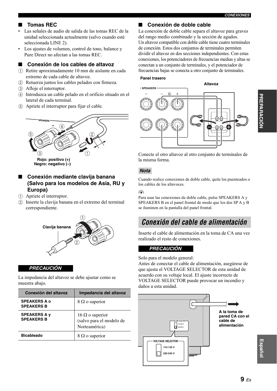### ■ **Tomas REC**

- Las señales de audio de salida de las tomas REC de la unidad seleccionada actualmente (salvo cuando esté seleccionada LINE 2).
- Los ajustes de volumen, control de tono, balance y Pure Direct no afectan a las tomas REC.

#### ■ **Conexión de los cables de altavoz**

- 1 Retire aproximadamente 10 mm de aislante en cada extremo de cada cable de altavoz.
- 2 Retuerza juntos los cables pelados con firmeza.
- 3 Afloje el interruptor.
- 4 Introduzca un cable pelado en el orificio situado en el lateral de cada terminal.
- 5 Apriete el interruptor para fijar el cable.



### ■ **Conexión mediante clavija banana (Salvo para los modelos de Asia, RU y Europa)**

- 1 Apriete el interruptor.
- 2 Inserte la clavija banana en el extremo del terminal correspondiente.



#### *PRECAUCIÓN*

La impedancia del altavoz se debe ajustar como se muestra abajo.

| Conexión del altavoz                     | Impedancia del altavoz                                              |
|------------------------------------------|---------------------------------------------------------------------|
| <b>SPEAKERS A o</b><br><b>SPEAKERS B</b> | $8 \Omega$ o superior                                               |
| <b>SPEAKERS A y</b><br><b>SPEAKERS B</b> | $16 \Omega$ o superior<br>(salvo para el modelo de<br>Norteamérica) |
| <b>Bicableado</b>                        | $8 \Omega$ o superior                                               |

### ■ **Conexión de doble cable**

La conexión de doble cable separa el altavoz para graves del rango medio combinado y la sección de agudos. Un altavoz compatible con doble cable tiene cuatro terminales de conexión. Estos dos conjuntos de terminales permiten dividir el altavoz en dos secciones independientes. Con estas conexiones, los potenciadores de frecuencias medias y altas se conectan a un conjunto de terminales, y el potenciador de frecuencias bajas se conecta a otro conjunto de terminales.

#### **Panel trasero**

#### **Altavoz**



Conecte el otro altavoz al otro conjunto de terminales de la misma forma.

### *Nota*

Cuando realice conexiones de doble cable, quite los puenteados o los cables de los altavoces.

#### $\geq 0$

Para usar las conexiones de doble cable, pulse SPEAKERS A y SPEAKERS B en el panel frontal de modo que los dos SP A y B se iluminen en la pantalla del panel frontal.

### <span id="page-26-0"></span>*Conexión del cable de alimentación*

Inserte el cable de alimentación en la toma de CA una vez realizado el resto de conexiones.

#### *PRECAUCIÓN*

Solo para el modelo general:

Antes de conectar el cable de alimentación, asegúrese de que ajusta el VOLTAGE SELECTOR de esta unidad de acuerdo con su voltaje local. El ajuste incorrecto de VOLTAGE SELECTOR puede provocar un incendio y daños a esta unidad.



**Español**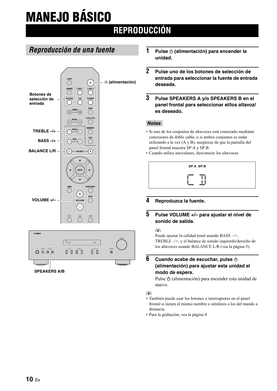# <span id="page-27-0"></span>**MANEJO BÁSICO**

### **REPRODUCCIÓN**

### <span id="page-27-1"></span>*Reproducción de una fuente*





- **1** Pulse  $\phi$  (alimentación) para encender la **unidad.**
- **2 Pulse uno de los botones de selección de entrada para seleccionar la fuente de entrada deseada.**
- **3 Pulse SPEAKERS A y/o SPEAKERS B en el panel frontal para seleccionar el/los altavoz/ es deseado.**

### *Notas*

- Si uno de los conjuntos de altavoces está conectado mediante conexiones de doble cable, o si ambos conjuntos se están utilizando a la vez (A y B), asegúrese de que la pantalla del panel frontal muestra SP A y SP B.
- Cuando utilice auriculares, desconecte los altavoces.

| <b>SPA SPB</b> |  |
|----------------|--|
| ᅩ              |  |

### **4 Reproduzca la fuente.**

### **5 Pulse VOLUME +/– para ajustar el nivel de sonido de salida.**

#### $\geq 0$

Puede ajustar la calidad tonal usando BASS –/+, TREBLE –/+, y el balance de sonido izquierdo/derecho de los altavoces usando BALANCE L/R (vea la página 5).

### **6 Cuando acabe de escuchar, pulse**  $\circ$ **(alimentación) para ajustar esta unidad al modo de espera.**

Pulse  $\Phi$  (alimentación) para encender esta unidad de nuevo.

 $\geq \circ \geq$ 

- También puede usar los botones o interruptores en el panel frontal si tienen el mismo nombre o similares a los del mando a distancia.
- Para la grabación, vea la página 4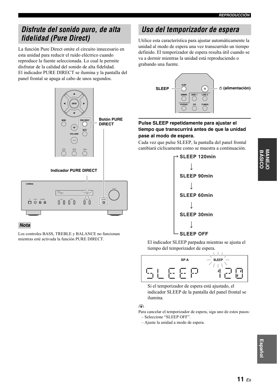### <span id="page-28-0"></span>*Disfrute del sonido puro, de alta fidelidad (Pure Direct)*

La función Pure Direct omite el circuito innecesario en esta unidad para reducir el ruido eléctrico cuando reproduce la fuente seleccionada. Lo cual le permite disfrutar de la calidad del sonido de alta fidelidad. El indicador PURE DIRECT se ilumina y la pantalla del panel frontal se apaga al cabo de unos segundos.



### *Nota*

Los controles BASS, TREBLE y BALANCE no funcionan mientras esté activada la función PURE DIRECT.

### <span id="page-28-1"></span>*Uso del temporizador de espera*

Utilice esta característica para ajustar automáticamente la unidad al modo de espera una vez transcurrido un tiempo definido. El temporizador de espera resulta útil cuando se va a dormir mientras la unidad está reproduciendo o grabando una fuente.



### **Pulse SLEEP repetidamente para ajustar el tiempo que transcurrirá antes de que la unidad pase al modo de espera.**

Cada vez que pulse SLEEP, la pantalla del panel frontal cambiará cíclicamente como se muestra a continuación.



El indicador SLEEP parpadea mientras se ajusta el tiempo del temporizador de espera.



Si el temporizador de espera está ajustado, el indicador SLEEP de la pantalla del panel frontal se ilumina.

### $\geq 0$

Para cancelar el temporizador de espera, siga uno de estos pasos: – Seleccione "SLEEP OFF".

– Ajuste la unidad a modo de espera.

**Español**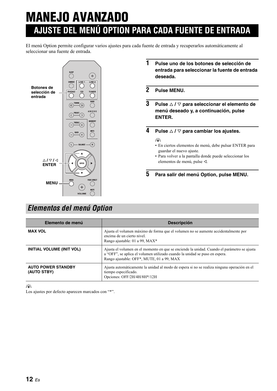## <span id="page-29-0"></span>**MANEJO AVANZADO AJUSTE DEL MENÚ OPTION PARA CADA FUENTE DE ENTRADA**

El menú Option permite configurar varios ajustes para cada fuente de entrada y recuperarlos automáticamente al seleccionar una fuente de entrada.



- **1 Pulse uno de los botones de selección de entrada para seleccionar la fuente de entrada deseada.**
- **2 Pulse MENU.**
- **3 Pulse** B **/** C **para seleccionar el elemento de menú deseado y, a continuación, pulse ENTER.**

**4 Pulse**  $\triangle$  /  $\triangledown$  para cambiar los ajustes.

### $\frac{y}{x}$

- En ciertos elementos de menú, debe pulsar ENTER para guardar el nuevo ajuste.
- Para volver a la pantalla donde puede seleccionar los elementos de menú, pulse  $\triangleleft$ .
- **5 Para salir del menú Option, pulse MENU.**

### <span id="page-29-1"></span>*Elementos del menú Option*

| Elemento de menú                         | <b>Descripción</b>                                                                                                                                                                                                      |
|------------------------------------------|-------------------------------------------------------------------------------------------------------------------------------------------------------------------------------------------------------------------------|
| <b>MAX VOL</b>                           | Ajusta el volumen máximo de forma que el volumen no se aumente accidentalmente por<br>encima de un cierto nivel.<br>Rango ajustable: 01 a 99, MAX*                                                                      |
| <b>INITIAL VOLUME (INIT VOL)</b>         | Ajusta el volumen en el momento en que se enciende la unidad. Cuando el parámetro se ajusta<br>a "OFF", se aplica el volumen utilizado cuando la unidad se puso en espera.<br>Rango ajustable: OFF*, MUTE, 01 a 99, MAX |
| <b>AUTO POWER STANDBY</b><br>(AUTO STBY) | Ajusta automáticamente la unidad al modo de espera si no se realiza ninguna operación en el<br>tiempo especificado.<br>Opciones: OFF/2H/4H/8H*/12H                                                                      |

a'∲′

Los ajustes por defecto aparecen marcados con "\*".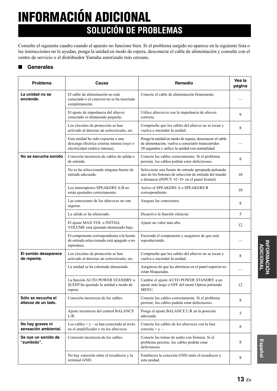# **INFORMACIÓN ADICIONAL SOLUCIÓN DE PROBLEMAS**

<span id="page-30-0"></span>Consulte el siguiente cuadro cuando el aparato no funcione bien. Si el problema surgido no aparece en la siguiente lista o las instrucciones no le ayudan, ponga la unidad en modo de espera, desconecte el cable de alimentación y consulte con el centro de servicio o el distribuidor Yamaha autorizado más cercano.

### ■ **Generales**

| Problema                                  | Causa                                                                                                               | Remedio                                                                                                                                                                 | Vea la<br>página |
|-------------------------------------------|---------------------------------------------------------------------------------------------------------------------|-------------------------------------------------------------------------------------------------------------------------------------------------------------------------|------------------|
| La unidad no se<br>enciende.              | El cable de alimentación no está<br>conectado o el conector no se ha insertado<br>completamente.                    | Conecte el cable de alimentación firmemente.                                                                                                                            |                  |
|                                           | El ajuste de impedancia del altavoz<br>conectado es demasiado pequeño.                                              | Utilice altavoz/es con la impedancia de altavoz<br>correcta.                                                                                                            | 9                |
|                                           | Los circuitos de protección se han<br>activado al detectar un cortocircuito, etc.                                   | Compruebe que los cables del altavoz no se tocan y<br>vuelva a encender la unidad.                                                                                      | 8                |
|                                           | Esta unidad ha sido expuesta a una<br>descarga eléctrica externa intensa (rayo o<br>electricidad estática intensa). | Ponga la unidad en modo de espera, desconecte el cable<br>de alimentación, vuelva a conectarlo transcurridos<br>30 segundos y utilice la unidad con normalidad.         |                  |
| No se escucha sonido                      | Conexión incorrecta de cables de salida o<br>de entrada.                                                            | Conecte los cables correctamente. Si el problema<br>persiste, los cables podrán estar defectuosos.                                                                      | 8                |
|                                           | No se ha seleccionado ninguna fuente de<br>entrada adecuada.                                                        | Seleccione una fuente de entrada apropiada pulsando<br>uno de los botones de selección de entrada del mando<br>a distancia (INPUT $\lhd$ / $\rhd$ en el panel frontal). | 10               |
|                                           | Los interruptores SPEAKERS A/B no<br>están ajustados correctamente.                                                 | Active el SPEAKERS A o SPEAKERS B<br>correspondiente.                                                                                                                   | 10               |
|                                           | Las conexiones de los altavoces no son<br>seguras.                                                                  | Asegure las conexiones.                                                                                                                                                 | 8                |
|                                           | La salida se ha silenciado.                                                                                         | Desactive la función silenciar.                                                                                                                                         | 5                |
|                                           | El ajuste MAX VOL o INITIAL<br>VOLUME está ajustado demasiado bajo.                                                 | Ajuste un valor más alto.                                                                                                                                               | 12               |
|                                           | El componente correspondiente a la fuente<br>de entrada seleccionada está apagado o no<br>reproduce.                | Encienda el componente y asegúrese de que está<br>reproduciendo.                                                                                                        |                  |
| El sonido desaparece<br>de repente.       | Los circuitos de protección se han<br>activado al detectar un cortocircuito, etc.                                   | Compruebe que los cables del altavoz no se tocan y<br>vuelva a encender la unidad.                                                                                      | 8                |
|                                           | La unidad se ha calentado demasiado.                                                                                | Asegúrese de que las aberturas en el panel superior no<br>están bloqueadas.                                                                                             |                  |
|                                           | La función AUTO POWER STANDBY o<br>SLEEP ha ajustado la unidad a modo de<br>espera.                                 | Cambie el ajuste AUTO POWER STANDBY a un<br>ajuste más largo o OFF del menú Option pulsando<br>MENU.                                                                    | 12               |
| Sólo se escucha el<br>altavoz de un lado. | Conexión incorrecta de los cables.                                                                                  | Conecte los cables correctamente. Si el problema<br>persiste, los cables podrán estar defectuosos.                                                                      | 8                |
|                                           | Ajuste incorrecto del control BALANCE<br>$L/R$ .                                                                    | Ponga el ajuste BALANCE L/R en la posición<br>adecuada.                                                                                                                 | 5                |
| No hay graves ni<br>sensación ambiental.  | Los cables + $y$ – se han conectado al revés<br>en el amplificador o en los altavoces.                              | Conecte los cables de los altavoces con la fase<br>correcta + $y -$ .                                                                                                   | 8                |
| Se oye un sonido de<br>"zumbido".         | Conexión incorrecta de los cables.                                                                                  | Conecte las tomas de audio con firmeza. Si el<br>problema persiste, los cables podrán estar<br>defectuosos.                                                             | 8                |
|                                           | No hay conexión entre el tocadiscos y la<br>terminal GND.                                                           | Establezca la conexión GND entre el tocadiscos y<br>esta unidad.                                                                                                        | 8                |

**INFORMACIÓN INFORMACIÓN ADICIONAL ADICIONAL**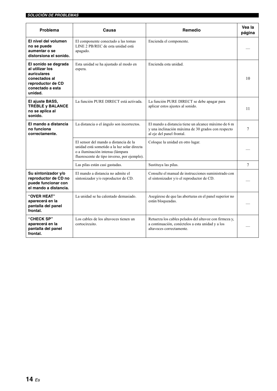| Problema                                                                                                                    | Causa                                                                                                                                                                   | Remedio                                                                                                                                | Vea la<br>página |
|-----------------------------------------------------------------------------------------------------------------------------|-------------------------------------------------------------------------------------------------------------------------------------------------------------------------|----------------------------------------------------------------------------------------------------------------------------------------|------------------|
| El nivel del volumen<br>no se puede<br>aumentar o se<br>distorsiona el sonido.                                              | El componente conectado a las tomas<br>LINE 2 PB/REC de esta unidad está<br>apagado.                                                                                    | Encienda el componente.                                                                                                                |                  |
| El sonido se degrada<br>al utilizar los<br>auriculares<br>conectados al<br>reproductor de CD<br>conectado a esta<br>unidad. | Esta unidad se ha ajustado al modo en<br>espera.                                                                                                                        | Encienda esta unidad.                                                                                                                  | 10               |
| El ajuste BASS,<br><b>TREBLE y BALANCE</b><br>no se aplica al<br>sonido.                                                    | La función PURE DIRECT está activada.                                                                                                                                   | La función PURE DIRECT se debe apagar para<br>aplicar estos ajustes al sonido.                                                         | 11               |
| El mando a distancia<br>no funciona<br>correctamente.                                                                       | La distancia o el ángulo son incorrectos.                                                                                                                               | El mando a distancia tiene un alcance máximo de 6 m<br>y una inclinación máxima de 30 grados con respecto<br>al eje del panel frontal. | $\tau$           |
|                                                                                                                             | El sensor del mando a distancia de la<br>unidad está sometido a la luz solar directa<br>o a iluminación intensa (lámpara<br>fluorescente de tipo inverso, por ejemplo). | Coloque la unidad en otro lugar.                                                                                                       |                  |
|                                                                                                                             | Las pilas están casi gastadas.                                                                                                                                          | Sustituya las pilas.                                                                                                                   | $\tau$           |
| Su sintonizador y/o<br>reproductor de CD no<br>puede funcionar con<br>el mando a distancia.                                 | El mando a distancia no admite el<br>sintonizador y/o reproductor de CD.                                                                                                | Consulte el manual de instrucciones suministrado con<br>el sintonizador y/o el reproductor de CD.                                      |                  |
| "OVER HEAT"<br>aparecerá en la<br>pantalla del panel<br>frontal.                                                            | La unidad se ha calentado demasiado.                                                                                                                                    | Asegúrese de que las aberturas en el panel superior no<br>están bloqueadas.                                                            |                  |
| "CHECK SP"<br>aparecerá en la<br>pantalla del panel<br>frontal.                                                             | Los cables de los altavoces tienen un<br>cortocircuito.                                                                                                                 | Retuerza los cables pelados del altavoz con firmeza y,<br>a continuación, conéctelos a esta unidad y a los<br>altavoces correctamente. |                  |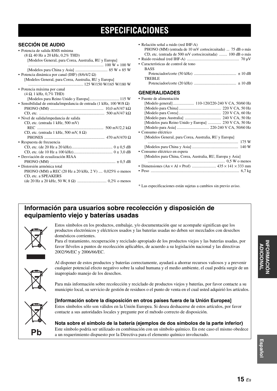### **ESPECIFICACIONES**

<span id="page-32-0"></span>

| <b>SECCIÓN DE AUDIO</b><br>· Potencia de salida RMS mínima<br>$(8 \Omega, 40 \text{ Hz} a 20 \text{ kHz}, 0.2\% \text{ THD})$<br>[Modelos General, para Corea, Australia, RU y Europa]<br>$\ldots$ 100 W + 100 W | • Relación señal a ruido (red IHF-A)<br>PHONO (MM) (entrada de 10 mV cortocircuitada)  75 dB o más<br>CD, etc. (entrada de 500 mV cortocircuitada)  100 dB o más<br>• Características de control de tono |  |
|------------------------------------------------------------------------------------------------------------------------------------------------------------------------------------------------------------------|----------------------------------------------------------------------------------------------------------------------------------------------------------------------------------------------------------|--|
|                                                                                                                                                                                                                  | <b>BASS</b>                                                                                                                                                                                              |  |
| • Potencia dinámica por canal (IHF) (8/6/4/2 $\Omega$ )                                                                                                                                                          | <b>TREBLE</b>                                                                                                                                                                                            |  |
| [Modelos General, para Corea, Australia, RU y Europa]                                                                                                                                                            |                                                                                                                                                                                                          |  |
| · Potencia máxima por canal                                                                                                                                                                                      |                                                                                                                                                                                                          |  |
| $(4 \Omega, 1 \text{ kHz}, 0.7\% \text{ THD})$                                                                                                                                                                   | <b>GENERALIDADES</b>                                                                                                                                                                                     |  |
|                                                                                                                                                                                                                  | • Fuente de alimentación                                                                                                                                                                                 |  |
| • Sensibilidad de entrada/impedancia de entrada (1 kHz, $100 W/8 \Omega$ )                                                                                                                                       |                                                                                                                                                                                                          |  |
|                                                                                                                                                                                                                  |                                                                                                                                                                                                          |  |
|                                                                                                                                                                                                                  |                                                                                                                                                                                                          |  |
| • Nivel de salida/impedancia de salida                                                                                                                                                                           |                                                                                                                                                                                                          |  |
| CD, etc. (entrada 1 kHz, 500 mV)                                                                                                                                                                                 | [Modelos para Reino Unido y Europa]  230 V CA, 50 Hz                                                                                                                                                     |  |
|                                                                                                                                                                                                                  |                                                                                                                                                                                                          |  |
| CD, etc. (entrada 1 kHz, 500 mV, $8 \Omega$ )                                                                                                                                                                    | • Consumo eléctrico                                                                                                                                                                                      |  |
|                                                                                                                                                                                                                  | [Modelos General, para Corea, Australia, RU y Europa]                                                                                                                                                    |  |
| • Respuesta de frecuencia                                                                                                                                                                                        |                                                                                                                                                                                                          |  |
|                                                                                                                                                                                                                  |                                                                                                                                                                                                          |  |
|                                                                                                                                                                                                                  | • Consumo eléctrico en espera                                                                                                                                                                            |  |
| • Desviación de ecualización RIAA                                                                                                                                                                                | [Modelos para China, Corea, Australia, RU, Europa y Asia]                                                                                                                                                |  |
|                                                                                                                                                                                                                  |                                                                                                                                                                                                          |  |
| • Distorsión armónica total                                                                                                                                                                                      |                                                                                                                                                                                                          |  |
| PHONO (MM) a REC (20 Hz a 20 kHz, 2 V) , 0,025% o menos                                                                                                                                                          |                                                                                                                                                                                                          |  |
| CD, etc. a SPEAKERS                                                                                                                                                                                              |                                                                                                                                                                                                          |  |
|                                                                                                                                                                                                                  |                                                                                                                                                                                                          |  |
|                                                                                                                                                                                                                  | * Las especificaciones están sujetas a cambios sin previo aviso.                                                                                                                                         |  |

### **Información para usuarios sobre recolección y disposición de equipamiento viejo y baterías usadas**



Estos símbolos en los productos, embalaje, y/o documentación que se acompañe significan que los productos electrónicos y eléctricos usados y las baterías usadas no deben ser mezclados con desechos domésticos corrientes.

Para el tratamiento, recuperación y reciclado apropiado de los productos viejos y las baterías usadas, por favor llévelos a puntos de recolección aplicables, de acuerdo a su legislación nacional y las directivas 2002/96/EC y 2006/66/EC.



Al disponer de estos productos y baterías correctamente, ayudará a ahorrar recursos valiosos y a prevenir cualquier potencial efecto negativo sobre la salud humana y el medio ambiente, el cual podría surgir de un inapropiado manejo de los desechos.

Para más información sobre recolección y reciclado de productos viejos y baterías, por favor contacte a su municipio local, su servicio de gestión de residuos o el punto de venta en el cual usted adquirió los artículos.



### **[Información sobre la disposición en otros países fuera de la Unión Europea]**

Estos símbolos sólo son válidos en la Unión Europea. Si desea deshacerse de estos artículos, por favor contacte a sus autoridades locales y pregunte por el método correcto de disposición.

**Nota sobre el símbolo de la batería (ejemplos de dos símbolos de la parte inferior)** Este símbolo podría ser utilizado en combinación con un símbolo químico. En este caso el mismo obedece a un requerimiento dispuesto por la Directiva para el elemento químico involucrado.